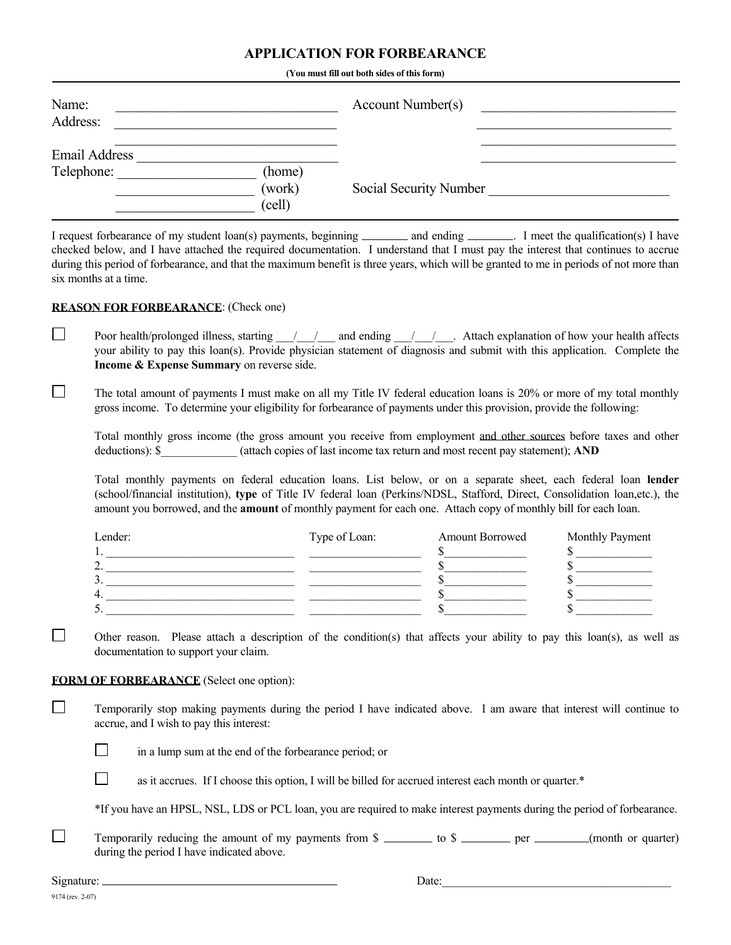## **APPLICATION FOR FORBEARANCE**

 **(You must fill out both sides of this form)**

| Name:<br>Address: |                            | Account Number(s)      |  |
|-------------------|----------------------------|------------------------|--|
| Email Address     |                            |                        |  |
| Telephone:        | (home)<br>(work)<br>(cell) | Social Security Number |  |

I request forbearance of my student loan(s) payments, beginning \_\_\_\_\_\_\_\_\_ and ending \_\_\_\_\_\_\_. I meet the qualification(s) I have checked below, and I have attached the required documentation. I understand that I must pay the interest that continues to accrue during this period of forbearance, and that the maximum benefit is three years, which will be granted to me in periods of not more than six months at a time.

## **REASON FOR FORBEARANCE**: (Check one)

Poor health/prolonged illness, starting  $\frac{1}{\sqrt{2}}$  and ending  $\frac{1}{\sqrt{2}}$ . Attach explanation of how your health affects your ability to pay this loan(s). Provide physician statement of diagnosis and submit with this application. Complete the **Income & Expense Summary** on reverse side.

 $\Box$  The total amount of payments I must make on all my Title IV federal education loans is 20% or more of my total monthly gross income. To determine your eligibility for forbearance of payments under this provision, provide the following:

 Total monthly gross income (the gross amount you receive from employment and other sources before taxes and other deductions): \$\_\_\_\_\_\_\_\_\_\_\_\_\_ (attach copies of last income tax return and most recent pay statement); **AND**

 Total monthly payments on federal education loans. List below, or on a separate sheet, each federal loan **lender** (school/financial institution), **type** of Title IV federal loan (Perkins/NDSL, Stafford, Direct, Consolidation loan,etc.), the amount you borrowed, and the **amount** of monthly payment for each one. Attach copy of monthly bill for each loan.

| Lender: | Type of Loan: | <b>Amount Borrowed</b> | Monthly Payment |
|---------|---------------|------------------------|-----------------|
|         |               |                        |                 |
|         |               |                        |                 |
|         |               |                        |                 |
|         |               |                        |                 |
|         |               |                        |                 |

Other reason. Please attach a description of the condition(s) that affects your ability to pay this loan(s), as well as documentation to support your claim.

## **FORM OF FORBEARANCE** (Select one option):

 Temporarily stop making payments during the period I have indicated above. I am aware that interest will continue to accrue, and I wish to pay this interest:

 $\Box$  in a lump sum at the end of the forbearance period; or

as it accrues. If I choose this option, I will be billed for accrued interest each month or quarter. $*$ 

\*If you have an HPSL, NSL, LDS or PCL loan, you are required to make interest payments during the period of forbearance.

 $\Box$  Temporarily reducing the amount of my payments from  $\Omega$  to  $\Omega$  to  $\Omega$  per (month or quarter) during the period I have indicated above.